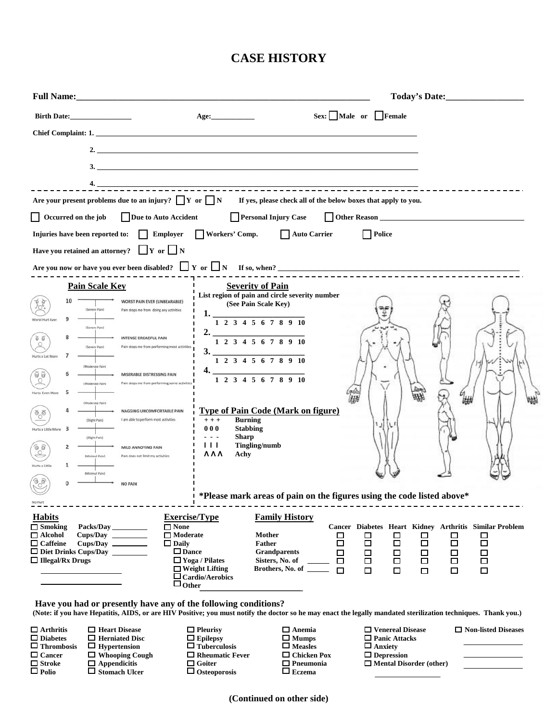## **CASE HISTORY**

| <b>Birth Date:</b>                                                                                                                                                                                                                                                                                                                                                                                                                                                                              | Age:                                                                                                                                                                                               | Sex: Male or Female                                                                                   |                                                                                                                                                                                                                                  |  |  |
|-------------------------------------------------------------------------------------------------------------------------------------------------------------------------------------------------------------------------------------------------------------------------------------------------------------------------------------------------------------------------------------------------------------------------------------------------------------------------------------------------|----------------------------------------------------------------------------------------------------------------------------------------------------------------------------------------------------|-------------------------------------------------------------------------------------------------------|----------------------------------------------------------------------------------------------------------------------------------------------------------------------------------------------------------------------------------|--|--|
|                                                                                                                                                                                                                                                                                                                                                                                                                                                                                                 |                                                                                                                                                                                                    |                                                                                                       |                                                                                                                                                                                                                                  |  |  |
|                                                                                                                                                                                                                                                                                                                                                                                                                                                                                                 |                                                                                                                                                                                                    |                                                                                                       |                                                                                                                                                                                                                                  |  |  |
|                                                                                                                                                                                                                                                                                                                                                                                                                                                                                                 |                                                                                                                                                                                                    |                                                                                                       |                                                                                                                                                                                                                                  |  |  |
|                                                                                                                                                                                                                                                                                                                                                                                                                                                                                                 |                                                                                                                                                                                                    |                                                                                                       |                                                                                                                                                                                                                                  |  |  |
| Are your present problems due to an injury? $\Box Y$ or $\Box N$ If yes, please check all of the below boxes that apply to you.                                                                                                                                                                                                                                                                                                                                                                 |                                                                                                                                                                                                    |                                                                                                       |                                                                                                                                                                                                                                  |  |  |
| Occurred on the job<br>Due to Auto Accident<br><b>Personal Injury Case</b><br>Other Reason                                                                                                                                                                                                                                                                                                                                                                                                      |                                                                                                                                                                                                    |                                                                                                       |                                                                                                                                                                                                                                  |  |  |
| Workers' Comp.<br>Employer<br>Auto Carrier<br>  Police<br>Injuries have been reported to:                                                                                                                                                                                                                                                                                                                                                                                                       |                                                                                                                                                                                                    |                                                                                                       |                                                                                                                                                                                                                                  |  |  |
| Have you retained an attorney? $\Box Y$ or $\Box N$                                                                                                                                                                                                                                                                                                                                                                                                                                             |                                                                                                                                                                                                    |                                                                                                       |                                                                                                                                                                                                                                  |  |  |
| Are you now or have you ever been disabled? $\Box$ Y or $\Box$ N If so, when?                                                                                                                                                                                                                                                                                                                                                                                                                   |                                                                                                                                                                                                    |                                                                                                       |                                                                                                                                                                                                                                  |  |  |
| <b>Pain Scale Key</b>                                                                                                                                                                                                                                                                                                                                                                                                                                                                           | <b>Severity of Pain</b>                                                                                                                                                                            |                                                                                                       |                                                                                                                                                                                                                                  |  |  |
| <b>WORST PAIN EVER (UNBEARABLE)</b><br>(Severe Pain)<br>Pain stops me from doing any activities<br>9                                                                                                                                                                                                                                                                                                                                                                                            | List region of pain and circle severity number<br>(See Pain Scale Key)<br>1. $\frac{1}{1}$ 2 3 4 5 6 7 8 9 10                                                                                      |                                                                                                       |                                                                                                                                                                                                                                  |  |  |
| (Severe Pain)<br><b>INTENSE DREADFUL PAIN</b><br>Pain stops me from performing most activities<br>(Severe Pain)<br>Hurts a Lot More                                                                                                                                                                                                                                                                                                                                                             | $2.$ $\frac{1}{1}$ $\frac{2}{3}$ $\frac{3}{4}$ $\frac{5}{5}$ $\frac{6}{7}$ $\frac{7}{8}$ $\frac{9}{10}$<br>$3.$ $12345678910$                                                                      |                                                                                                       |                                                                                                                                                                                                                                  |  |  |
| (Moderate Pain)<br>$\overline{\Theta}$<br>MISERABLE DISTRESSING PAIN<br>Pain stops me from performing some activitie<br>(Moderate Pain)<br>Hurts Even More                                                                                                                                                                                                                                                                                                                                      | $4.$ $1\ 2\ 3\ 4\ 5\ 6\ 7\ 8\ 9\ 10$                                                                                                                                                               |                                                                                                       |                                                                                                                                                                                                                                  |  |  |
| (Moderate Pain)<br>NAGGING UNCOMFORTABLE PAIN<br>I am able to perform most activities<br>(Slight Pain)<br>3<br>Hurts a Little More<br>(Slight Pain)                                                                                                                                                                                                                                                                                                                                             | <b>Type of Pain Code (Mark on figure)</b><br><b>Burning</b><br>$+ + +$<br><b>Stabbing</b><br>000<br><b>Sharp</b><br>.                                                                              |                                                                                                       |                                                                                                                                                                                                                                  |  |  |
| $\overset{\circ}{\mathbb{C}}{}^{\circ}$<br><b>MILD ANNOYING PAIN</b><br>Pain does not limit my activities<br><b>IMinimal Pain1</b>                                                                                                                                                                                                                                                                                                                                                              | $\Box$<br>Tingling/numb<br><b>888</b><br>Achy                                                                                                                                                      |                                                                                                       |                                                                                                                                                                                                                                  |  |  |
| lurts a Little                                                                                                                                                                                                                                                                                                                                                                                                                                                                                  |                                                                                                                                                                                                    |                                                                                                       |                                                                                                                                                                                                                                  |  |  |
| <b>NO PAIN</b>                                                                                                                                                                                                                                                                                                                                                                                                                                                                                  |                                                                                                                                                                                                    |                                                                                                       |                                                                                                                                                                                                                                  |  |  |
| No Hurt                                                                                                                                                                                                                                                                                                                                                                                                                                                                                         | *Please mark areas of pain on the figures using the code listed above*                                                                                                                             |                                                                                                       |                                                                                                                                                                                                                                  |  |  |
| <b>Exercise/Type</b><br><b>Habits</b><br>$\Box$ Smoking<br>$\Box$ None<br>Packs/Day<br>$\Box$ Moderate<br>$\Box$ Alcohol<br>Cups/Day<br>$\Box$ Caffeine<br>$\Box$ Daily<br>$\square$ Dance<br>$\Box$ Illegal/Rx Drugs<br>$\sqcup$ Other                                                                                                                                                                                                                                                         | <b>Family History</b><br><b>Mother</b><br>Father<br><b>Grandparents</b><br>$\Box$ Yoga / Pilates<br>Sisters, No. of<br>$\Box$ Weight Lifting<br>Brothers, No. of<br>$\Box$ Cardio/Aerobics         | □<br>□<br>$\Box$<br>$\Box$<br>$\Box$<br>$\Box$<br>$\Box$<br>$\Box$<br>$\Box$<br>$\Box$                | Cancer Diabetes Heart Kidney Arthritis Similar Problem<br>□<br>$\Box$<br>□<br>□<br>$\Box$<br>$\Box$<br>$\Box$<br>$\Box$<br>$\Box$<br>$\Box$<br>□<br>□<br>$\Box$<br>$\Box$<br>□<br>$\Box$<br>$\Box$<br>$\Box$<br>$\Box$<br>$\Box$ |  |  |
| Have you had or presently have any of the following conditions?<br>(Note: if you have Hepatitis, AIDS, or are HIV Positive; you must notify the doctor so he may enact the legally mandated sterilization techniques. Thank you.)<br>$\Box$ Arthritis<br>$\Box$ Heart Disease<br>$\Box$ Diabetes<br>$\Box$ Herniated Disc<br>$\Box$ Thrombosis<br>$\Box$ Hypertension<br>$\Box$ Cancer<br>$\Box$ Whooping Cough<br>$\Box$ Stroke<br>$\Box$ Appendicitis<br>$\Box$ Polio<br>$\Box$ Stomach Ulcer | $\Box$ Pleurisy<br>$\square$ Anemia<br>$\Box$ Epilepsy<br>$\Box$ Mumps<br>$\Box$ Tuberculosis<br>$\Box$ Measles<br>$\Box$ Rheumatic Fever<br>$\Box$ Goiter<br>$\Box$ Eczema<br>$\Box$ Osteoporosis | $\Box$ Panic Attacks<br>$\Box$ Anxiety<br>$\Box$ Chicken Pox<br>$\Box$ Depression<br>$\Box$ Pneumonia | $\Box$ Venereal Disease<br>$\Box$ Non-listed Diseases<br>$\Box$ Mental Disorder (other)                                                                                                                                          |  |  |